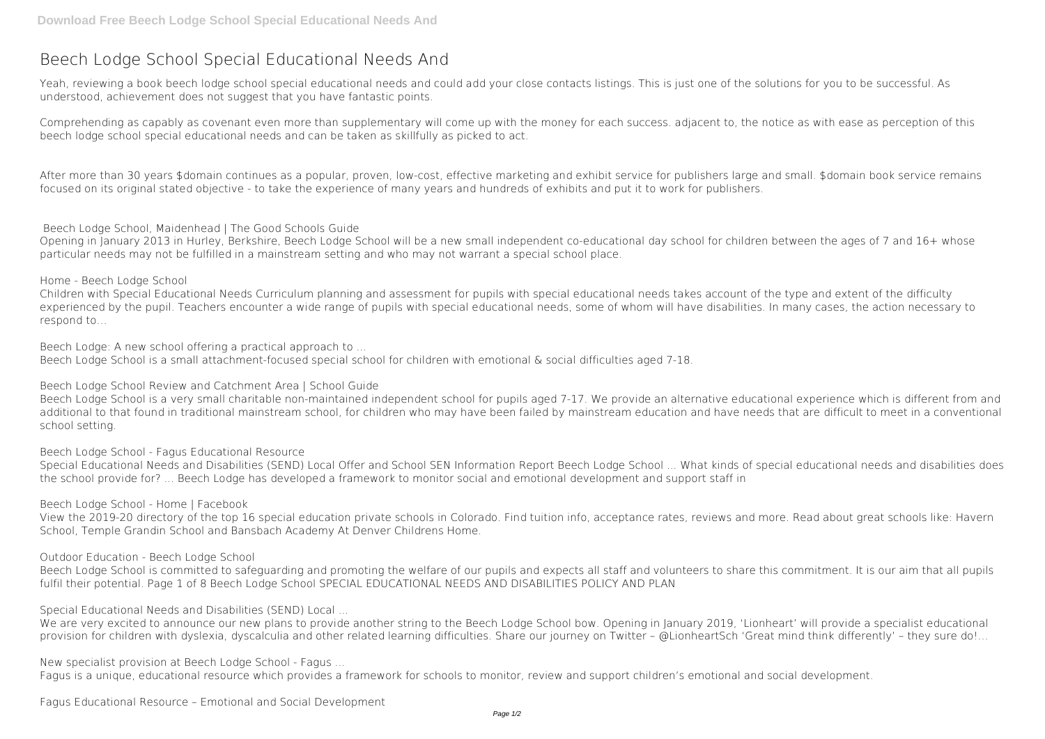# **Beech Lodge School Special Educational Needs And**

Yeah, reviewing a book **beech lodge school special educational needs and** could add your close contacts listings. This is just one of the solutions for you to be successful. As understood, achievement does not suggest that you have fantastic points.

Comprehending as capably as covenant even more than supplementary will come up with the money for each success. adjacent to, the notice as with ease as perception of this beech lodge school special educational needs and can be taken as skillfully as picked to act.

After more than 30 years \$domain continues as a popular, proven, low-cost, effective marketing and exhibit service for publishers large and small. \$domain book service remains focused on its original stated objective - to take the experience of many years and hundreds of exhibits and put it to work for publishers.

**Beech Lodge School, Maidenhead | The Good Schools Guide**

Opening in January 2013 in Hurley, Berkshire, Beech Lodge School will be a new small independent co-educational day school for children between the ages of 7 and 16+ whose particular needs may not be fulfilled in a mainstream setting and who may not warrant a special school place.

**Home - Beech Lodge School**

Children with Special Educational Needs Curriculum planning and assessment for pupils with special educational needs takes account of the type and extent of the difficulty experienced by the pupil. Teachers encounter a wide range of pupils with special educational needs, some of whom will have disabilities. In many cases, the action necessary to respond to…

Beech Lodge School is committed to safeguarding and promoting the welfare of our pupils and expects all staff and volunteers to share this commitment. It is our aim that all pupils fulfil their potential. Page 1 of 8 Beech Lodge School SPECIAL EDUCATIONAL NEEDS AND DISABILITIES POLICY AND PLAN

**Beech Lodge: A new school offering a practical approach to ...** Beech Lodge School is a small attachment-focused special school for children with emotional & social difficulties aged 7-18.

We are very excited to announce our new plans to provide another string to the Beech Lodge School bow. Opening in January 2019, 'Lionheart' will provide a specialist educational provision for children with dyslexia, dyscalculia and other related learning difficulties. Share our journey on Twitter – @LionheartSch 'Great mind think differently' – they sure do!…

**Beech Lodge School Review and Catchment Area | School Guide**

Beech Lodge School is a very small charitable non-maintained independent school for pupils aged 7-17. We provide an alternative educational experience which is different from and additional to that found in traditional mainstream school, for children who may have been failed by mainstream education and have needs that are difficult to meet in a conventional school setting.

**Beech Lodge School - Fagus Educational Resource**

Special Educational Needs and Disabilities (SEND) Local Offer and School SEN Information Report Beech Lodge School ... What kinds of special educational needs and disabilities does the school provide for? ... Beech Lodge has developed a framework to monitor social and emotional development and support staff in

**Beech Lodge School - Home | Facebook**

View the 2019-20 directory of the top 16 special education private schools in Colorado. Find tuition info, acceptance rates, reviews and more. Read about great schools like: Havern School, Temple Grandin School and Bansbach Academy At Denver Childrens Home.

**Outdoor Education - Beech Lodge School**

**Special Educational Needs and Disabilities (SEND) Local ...**

**New specialist provision at Beech Lodge School - Fagus ...**

Fagus is a unique, educational resource which provides a framework for schools to monitor, review and support children's emotional and social development.

**Fagus Educational Resource – Emotional and Social Development**